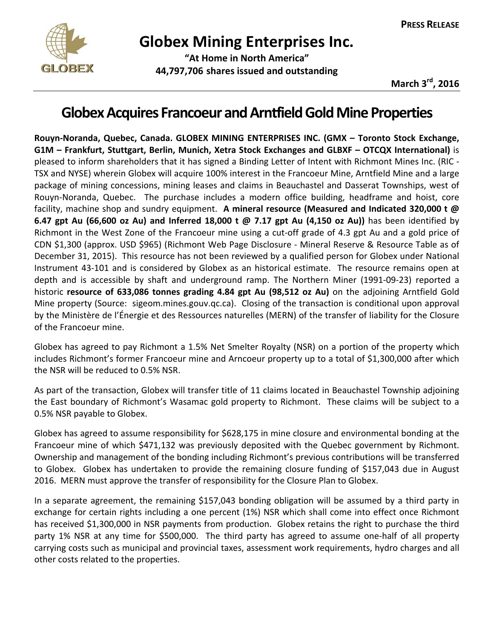

# **Globex Mining Enterprises Inc.**

 **"At Home in North America" 44,797,706 shares issued and outstanding**

**March 3rd, 2016**

## **GlobexAcquires Francoeur andArntfieldGoldMineProperties**

**Rouyn‐Noranda, Quebec, Canada. GLOBEX MINING ENTERPRISES INC. (GMX – Toronto Stock Exchange, G1M – Frankfurt, Stuttgart, Berlin, Munich, Xetra Stock Exchanges and GLBXF – OTCQX International)** is pleased to inform shareholders that it has signed a Binding Letter of Intent with Richmont Mines Inc. (RIC ‐ TSX and NYSE) wherein Globex will acquire 100% interest in the Francoeur Mine, Arntfield Mine and a large package of mining concessions, mining leases and claims in Beauchastel and Dasserat Townships, west of Rouyn‐Noranda, Quebec. The purchase includes a modern office building, headframe and hoist, core facility, machine shop and sundry equipment. **A mineral resource (Measured and Indicated 320,000 t @ 6.47 gpt Au (66,600 oz Au) and Inferred 18,000 t @ 7.17 gpt Au (4,150 oz Au))** has been identified by Richmont in the West Zone of the Francoeur mine using a cut‐off grade of 4.3 gpt Au and a gold price of CDN \$1,300 (approx. USD \$965) (Richmont Web Page Disclosure ‐ Mineral Reserve & Resource Table as of December 31, 2015). This resource has not been reviewed by a qualified person for Globex under National Instrument 43‐101 and is considered by Globex as an historical estimate. The resource remains open at depth and is accessible by shaft and underground ramp. The Northern Miner (1991‐09‐23) reported a historic **resource of 633,086 tonnes grading 4.84 gpt Au (98,512 oz Au)** on the adjoining Arntfield Gold Mine property (Source: sigeom.mines.gouv.qc.ca). Closing of the transaction is conditional upon approval by the Ministère de l'Énergie et des Ressources naturelles (MERN) of the transfer of liability for the Closure of the Francoeur mine.

Globex has agreed to pay Richmont a 1.5% Net Smelter Royalty (NSR) on a portion of the property which includes Richmont's former Francoeur mine and Arncoeur property up to a total of \$1,300,000 after which the NSR will be reduced to 0.5% NSR.

As part of the transaction, Globex will transfer title of 11 claims located in Beauchastel Township adjoining the East boundary of Richmont's Wasamac gold property to Richmont. These claims will be subject to a 0.5% NSR payable to Globex.

Globex has agreed to assume responsibility for \$628,175 in mine closure and environmental bonding at the Francoeur mine of which \$471,132 was previously deposited with the Quebec government by Richmont. Ownership and management of the bonding including Richmont's previous contributions will be transferred to Globex. Globex has undertaken to provide the remaining closure funding of \$157,043 due in August 2016. MERN must approve the transfer of responsibility for the Closure Plan to Globex.

In a separate agreement, the remaining \$157,043 bonding obligation will be assumed by a third party in exchange for certain rights including a one percent (1%) NSR which shall come into effect once Richmont has received \$1,300,000 in NSR payments from production. Globex retains the right to purchase the third party 1% NSR at any time for \$500,000. The third party has agreed to assume one-half of all property carrying costs such as municipal and provincial taxes, assessment work requirements, hydro charges and all other costs related to the properties.